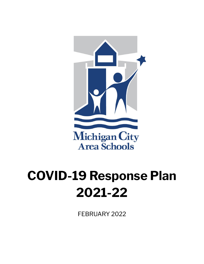

# **COVID-19 Response Plan 2021-22**

FEBRUARY 2022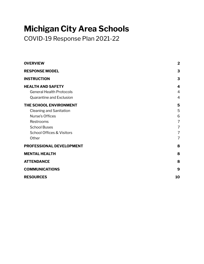# **Michigan City Area Schools**

COVID-19 Response Plan 2021-22

| <b>OVERVIEW</b>                                                                                                                                                  | $\overline{2}$                                                         |
|------------------------------------------------------------------------------------------------------------------------------------------------------------------|------------------------------------------------------------------------|
| <b>RESPONSE MODEL</b>                                                                                                                                            | 3                                                                      |
| <b>INSTRUCTION</b>                                                                                                                                               | 3                                                                      |
| <b>HEALTH AND SAFETY</b><br><b>General Health Protocols</b><br>Quarantine and Exclusion                                                                          | 4<br>$\overline{4}$<br>$\overline{4}$                                  |
| THE SCHOOL ENVIRONMENT<br><b>Cleaning and Sanitation</b><br>Nurse's Offices<br>Restrooms<br><b>School Buses</b><br><b>School Offices &amp; Visitors</b><br>Other | 5<br>5<br>6<br>$\overline{7}$<br>$\overline{7}$<br>$\overline{7}$<br>7 |
| PROFESSIONAL DEVELOPMENT                                                                                                                                         | 8                                                                      |
| <b>MENTAL HEALTH</b>                                                                                                                                             | 8                                                                      |
| <b>ATTENDANCE</b>                                                                                                                                                | 8                                                                      |
| <b>COMMUNICATIONS</b>                                                                                                                                            | 9                                                                      |
| <b>RESOURCES</b>                                                                                                                                                 | 10                                                                     |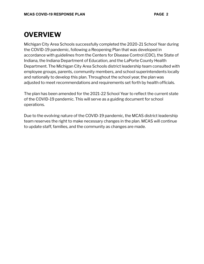## <span id="page-2-0"></span>**OVERVIEW**

Michigan City Area Schools successfully completed the 2020-21 School Year during the COVID-19 pandemic, following a Reopening Plan that was developed in accordance with guidelines from the Centers for Disease Control (CDC), the State of Indiana, the Indiana Department of Education, and the LaPorte County Health Department. The Michigan City Area Schools district leadership team consulted with employee groups, parents, community members, and school superintendents locally and nationally to develop this plan. Throughout the school year, the plan was adjusted to meet recommendations and requirements set forth by health officials.

The plan has been amended for the 2021-22 School Year to reflect the current state of the COVID-19 pandemic. This will serve as a guiding document for school operations.

Due to the evolving nature of the COVID-19 pandemic, the MCAS district leadership team reserves the right to make necessary changes in the plan. MCAS will continue to update staff, families, and the community as changes are made.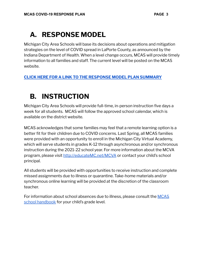# <span id="page-3-0"></span>**A. RESPONSE MODEL**

Michigan City Area Schools will base its decisions about operations and mitigation strategies on the level of COVID spread in LaPorte County, as announced by the Indiana Department of Health. When a level change occurs, MCAS will provide timely information to all families and staff. The current level will be posted on the MCAS website.

#### **CLICK HERE FOR A LINK TO THE [RESPONSE](https://drive.google.com/file/d/1ZIRVcW8EWjhUQdgF-DP_nM2dVAVxozCX/view?usp=sharing) MODEL PLAN SUMMARY**

## <span id="page-3-1"></span>**B. INSTRUCTION**

Michigan City Area Schools will provide full-time, in-person instruction five days a week for all students. MCAS will follow the approved school calendar, which is available on the district website.

MCAS acknowledges that some families may feel that a remote learning option is a better fit for their children due to COVID concerns. Last Spring, all MCAS families were provided with an opportunity to enroll in the Michigan City Virtual Academy, which will serve students in grades K-12 through asynchronous and/or synchronous instruction during the 2021-22 school year. For more information about the MCVA program, please visit [http://educateMC.net/MCVA](http://educatemc.net/MCVA) or contact your child's school principal.

All students will be provided with opportunities to receive instruction and complete missed assignments due to illness or quarantine. Take-home materials and/or synchronous online learning will be provided at the discretion of the classroom teacher.

For information about school absences due to illness, please consult the [MCAS](http://educatemc.net/handbooks) school [handbook](http://educatemc.net/handbooks) for your child's grade level.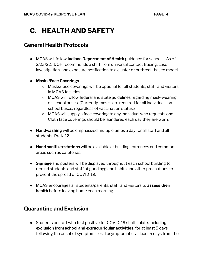# <span id="page-4-0"></span>**C. HEALTH AND SAFETY**

#### <span id="page-4-1"></span>**General Health Protocols**

- MCAS will follow **Indiana Department of Health** guidance for schools. As of 2/23/22, IDOH recommends a shift from universal contact tracing, case investigation, and exposure notification to a cluster or outbreak-based model.
- **Masks/Face Coverings**
	- Masks/face coverings will be optional for all students, staff, and visitors in MCAS facilities.
	- MCAS will follow federal and state guidelines regarding mask-wearing on school buses. (Currently, masks are required for all individuals on school buses, regardless of vaccination status.)
	- MCAS will supply a face covering to any individual who requests one. Cloth face coverings should be laundered each day they are worn.
- **Handwashing** will be emphasized multiple times a day for all staff and all students, PreK-12.
- **Hand sanitizer stations** will be available at building entrances and common areas such as cafeterias.
- **Signage** and posters will be displayed throughout each school building to remind students and staff of good hygiene habits and other precautions to prevent the spread of COVID-19.
- MCAS encourages all students/parents, staff, and visitors to **assess their health** before leaving home each morning.

#### <span id="page-4-2"></span>**Quarantine and Exclusion**

• Students or staff who test positive for COVID-19 shall isolate, including **exclusion from school and extracurricular activities**, for at least 5 days following the onset of symptoms, or, if asymptomatic, at least 5 days from the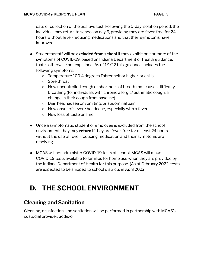date of collection of the positive test. Following the 5-day isolation period, the individual may return to school on day 6, providing they are fever-free for 24 hours without fever-reducing medications and that their symptoms have improved.

- Students/staff will be **excluded from school** if they exhibit one or more of the symptoms of COVID-19, based on Indiana Department of Health guidance, that is otherwise not explained. As of 1/1/22 this guidance includes the following symptoms:
	- Temperature 100.4 degrees Fahrenheit or higher, or chills
	- Sore throat
	- $\circ$  New uncontrolled cough or shortness of breath that causes difficulty breathing (for individuals with chronic allergic/ asthmatic cough, a change in their cough from baseline)
	- Diarrhea, nausea or vomiting, or abdominal pain
	- New onset of severe headache, especially with a fever
	- New loss of taste or smell
- Once a symptomatic student or employee is excluded from the school environment, they may **return** if they are fever-free for at least 24 hours without the use of fever-reducing medication and their symptoms are resolving.
- MCAS will not administer COVID-19 tests at school. MCAS will make COVID-19 tests available to families for home use when they are provided by the Indiana Department of Health for this purpose. (As of February 2022, tests are expected to be shipped to school districts in April 2022.)

# <span id="page-5-0"></span>**D. THE SCHOOL ENVIRONMENT**

#### <span id="page-5-1"></span>**Cleaning and Sanitation**

Cleaning, disinfection, and sanitation will be performed in partnership with MCAS's custodial provider, Sodexo.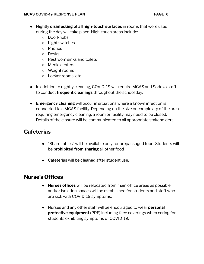- Nightly **disinfecting of all high-touch surfaces** in rooms that were used during the day will take place. High-touch areas include:
	- Doorknobs
	- Light switches
	- Phones
	- Desks
	- Restroom sinks and toilets
	- Media centers
	- Weight rooms
	- Locker rooms, etc.
- In addition to nightly cleaning, COVID-19 will require MCAS and Sodexo staff to conduct **frequent cleanings** throughout the school day.
- **Emergency cleaning** will occur in situations where a known infection is connected to a MCAS facility. Depending on the size or complexity of the area requiring emergency cleaning, a room or facility may need to be closed. Details of the closure will be communicated to all appropriate stakeholders.

#### **Cafeterias**

- "Share tables" will be available only for prepackaged food. Students will be **prohibited from sharing** all other food
- Cafeterias will be **cleaned** after student use.

#### <span id="page-6-0"></span>**Nurse's Offices**

- **Nurses offices** will be relocated from main office areas as possible, and/or isolation spaces will be established for students and staff who are sick with COVID-19 symptoms.
- Nurses and any other staff will be encouraged to wear **personal protective equipment** (PPE) including face coverings when caring for students exhibiting symptoms of COVID-19.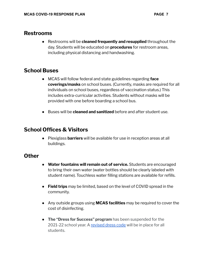#### <span id="page-7-0"></span>**Restrooms**

● Restrooms will be **cleaned frequently and resupplied** throughout the day. Students will be educated on **procedures** for restroom areas, including physical distancing and handwashing.

#### <span id="page-7-1"></span>**School Buses**

- MCAS will follow federal and state guidelines regarding **face coverings/masks** on school buses. (Currently, masks are required for all individuals on school buses, regardless of vaccination status.) This includes extra-curricular activities. Students without masks will be provided with one before boarding a school bus.
- Buses will be **cleaned and sanitized** before and after student use.

#### <span id="page-7-2"></span>**School Offices & Visitors**

● Plexiglass **barriers** will be available for use in reception areas at all buildings.

#### <span id="page-7-3"></span>**Other**

- **Water fountains will remain out of service.** Students are encouraged to bring their own water (water bottles should be clearly labeled with student name). Touchless water filling stations are available for refills.
- **Field trips** may be limited, based on the level of COVID spread in the community.
- Any outside groups using **MCAS facilities** may be required to cover the cost of disinfecting.
- **The "Dress for Success" program** has been suspended for the 2021-22 school year. A [revised](https://www.mcas.k12.in.us/site/Default.aspx?PageID=28152) dress code will be in place for all students.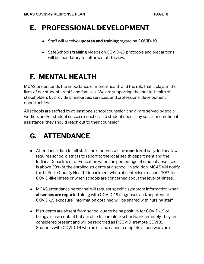# <span id="page-8-0"></span>**E. PROFESSIONAL DEVELOPMENT**

- Staff will receive **updates and training** regarding COVID-19.
- SafeSchools **training** videos on COVID-19 protocols and precautions will be mandatory for all new staff to view.

# <span id="page-8-1"></span>**F. MENTAL HEALTH**

MCAS understands the importance of mental health and the role that it plays in the lives of our students, staff, and families. We are supporting the mental health of stakeholders by providing resources, services, and professional development opportunities.

All schools are staffed by at least one school counselor, and all are served by social workers and/or student success coaches. If a student needs any social or emotional assistance, they should reach out to their counselor.

# <span id="page-8-2"></span>**G. ATTENDANCE**

- Attendance data for all staff and students will be **monitored** daily. Indiana law requires school districts to report to the local health department and the Indiana Department of Education when the percentage of student absences is above 20% of the enrolled students at a school. In addition, MCAS will notify the LaPorte County Health Department when absenteeism reaches 10% for COVID-like illness or when schools are concerned about the level of illness.
- MCAS attendance personnel will request specific symptom information when **absences are reported** along with COVID-19 diagnoses and/or potential COVID-19 exposure. Information obtained will be shared with nursing staff.
- If students are absent from school due to being positive for COVID-19 or being a close contact but are able to complete schoolwork remotely, they are considered present and will be recorded as RCOVID (remote COVID). Students with COVID-19 who are ill and cannot complete schoolwork are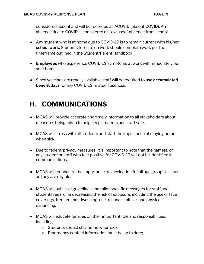considered absent and will be recorded as ACOVID (absent COVID). An absence due to COVID is considered an "excused" absence from school.

- Any student who is at home due to COVID-19 is to remain current with his/her **school work.** Students too ill to do work should complete work per the timeframe outlined in the Student/Parent Handbook.
- **Employees** who experience COVID-19 symptoms at work will immediately be sent home.
- Since vaccines are readily available, staff will be required to **use accumulated benefit days** for any COVID-19 related absences.

# **H. COMMUNICATIONS**

- <span id="page-9-0"></span>● MCAS will provide accurate and timely information to all stakeholders about measures being taken to help keep students and staff safe.
- MCAS will stress with all students and staff the importance of staying home when sick.
- Due to federal privacy measures, it is important to note that the name(s) of any student or staff who test positive for COVID-19 will not be identified in communications.
- MCAS will emphasize the importance of vaccination for all age groups as soon as they are eligible.
- MCAS will publicize guidelines and tailor specific messages for staff and students regarding decreasing the risk of exposure, including the use of face coverings, frequent handwashing, use of hand sanitizer, and physical distancing.
- MCAS will educate families on their important role and responsibilities, including:
	- Students should stay home when sick;
	- Emergency contact information must be up to date;